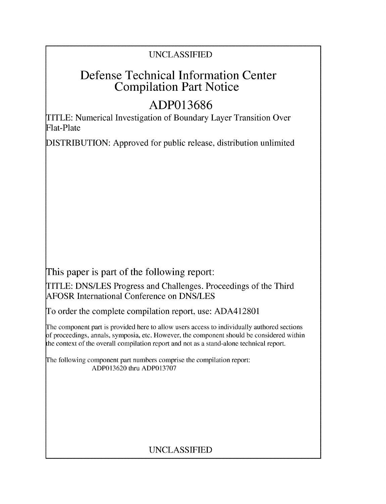## UNCLASSIFIED

# Defense Technical Information Center Compilation Part Notice

# **ADP013686**

TITLE: Numerical Investigation of Boundary Layer Transition Over Flat-Plate

DISTRIBUTION: Approved for public release, distribution unlimited

This paper is part of the following report:

TITLE: DNS/LES Progress and Challenges. Proceedings of the Third AFOSR International Conference on DNS/LES

To order the complete compilation report, use: ADA412801

The component part is provided here to allow users access to individually authored sections f proceedings, annals, symposia, etc. However, the component should be considered within the context of the overall compilation report and not as a stand-alone technical report.

The following component part numbers comprise the compilation report: ADP013620 thru ADP013707

# UNCLASSIFIED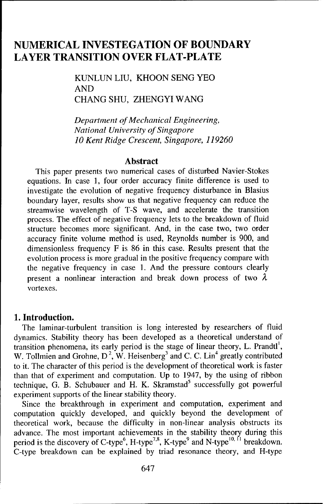## **NUMERICAL INVESTEGATION** OF BOUNDARY LAYER **TRANSITION** OVER FLAT-PLATE

KUNLUN LIU, KHOON SENG YEO AND CHANG SHU, ZHENGYI WANG

*Department of Mechanical Engineering, National University of Singapore 10 Kent Ridge Crescent, Singapore, 119260*

#### Abstract

This paper presents two numerical cases of disturbed Navier-Stokes equations. In case **1,** four order accuracy finite difference is used to investigate the evolution of negative frequency disturbance in Blasius boundary layer, results show us that negative frequency can reduce the streamwise wavelength of T-S wave, and accelerate the transition process. The effect of negative frequency lets to the breakdown of fluid structure becomes more significant. And, in the case two, two order accuracy finite volume method is used, Reynolds number is 900, and dimensionless frequency F is 86 in this case. Results present that the evolution process is more gradual in the positive frequency compare with the negative frequency in case 1. And the pressure contours clearly present a nonlinear interaction and break down process of two **A.** vortexes.

#### 1. Introduction.

The laminar-turbulent transition is long interested by researchers of fluid dynamics. Stability theory has been developed as a theoretical understand of transition phenomena, its early period is the stage of linear theory, L. Prandtl', W. Tollmien and Grohne,  $D^2$ , W. Heisenberg<sup>3</sup> and C. C. Lin<sup>4</sup> greatly contributed to it. The character of this period is the development of theoretical work is faster than that of experiment and computation. Up to 1947, by the using of ribbon technique, G. B. Schubauer and H. K. Skramstad<sup>5</sup> successfully got powerful experiment supports of the linear stability theory.

Since the breakthrough in experiment and computation, experiment and computation quickly developed, and quickly beyond the development of theoretical work, because the difficulty in non-linear analysis obstructs its advance. The most important achievements in the stability theory during this period is the discovery of C-type<sup>6</sup>, H-type<sup>7,8</sup>, K-type<sup>9</sup> and N-type<sup>10, 11</sup> breakdown. C-type breakdown can be explained by triad resonance theory, and H-type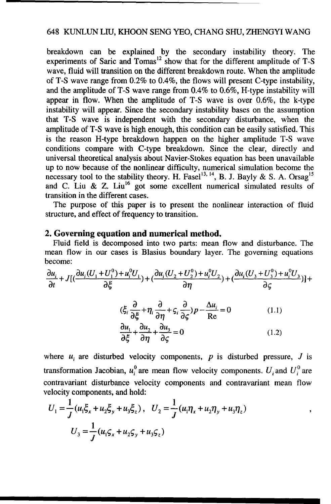breakdown can be explained by the secondary instability theory. The experiments of Saric and Tomas<sup>12</sup> show that for the different amplitude of T-S wave, fluid will transition on the different breakdown route. When the amplitude of T-S wave range from 0.2% to 0.4%, the flows will present C-type instability, and the amplitude of T-S wave range from 0.4% to 0.6%. H-type instability will appear in flow. When the amplitude of T-S wave is over 0.6%, the k-type instability will appear. Since the secondary instability bases on the assumption that T-S wave is independent with the secondary disturbance, when the amplitude of T-S wave is high enough, this condition can be easily satisfied. This is the reason H-type breakdown happen on the higher amplitude T-S wave conditions compare with C-type breakdown. Since the clear, directly and universal theoretical analysis about Navier-Stokes equation has been unavailable up to now because of the nonlinear difficulty, numerical simulation become the necessary tool to the stability theory. H. Fasel<sup>13, 14</sup>, B. J. Bayly & S. A. Orsag<sup>15</sup> and C. Liu & Z. Liu<sup>16</sup> got some excellent numerical simulated results of transition in the different cases.

The purpose of this paper is to present the nonlinear interaction of fluid structure, and effect of frequency to transition.

#### 2. Governing equation and numerical method,

Fluid field is decomposed into two parts: mean flow and disturbance. The mean flow in our cases is Blasius boundary layer. The governing equations become:

$$
\frac{\partial u_i}{\partial t} + J[(\frac{\partial u_i(U_1 + U_1^0) + u_i^0 U_1}{\partial \xi}) + (\frac{\partial u_i(U_2 + U_2^0) + u_i^0 U_2}{\partial \eta}) + (\frac{\partial u_i(U_3 + U_3^0) + u_i^0 U_3}{\partial \zeta})] +
$$
  

$$
(\xi_i \frac{\partial}{\partial \xi} + \eta_i \frac{\partial}{\partial \eta} + \zeta_i \frac{\partial}{\partial \zeta}) p - \frac{\Delta u_i}{\text{Re}} = 0 \qquad (1.1)
$$
  

$$
\frac{\partial u_1}{\partial \xi} + \frac{\partial u_2}{\partial \eta} + \frac{\partial u_3}{\partial \zeta} = 0 \qquad (1.2)
$$

where  $u_i$  are disturbed velocity components, p is disturbed pressure, J is transformation Jacobian,  $u_i^0$  are mean flow velocity components. U<sub>i</sub> and U<sub>i</sub> are contravariant disturbance velocity components and contravariant mean flow velocity components, and hold:

$$
U_1 = \frac{1}{J} (u_1 \xi_x + u_2 \xi_y + u_3 \xi_z), \quad U_2 = \frac{1}{J} (u_1 \eta_x + u_2 \eta_y + u_3 \eta_z)
$$

$$
U_3 = \frac{1}{J} (u_1 \varsigma_x + u_2 \varsigma_y + u_3 \varsigma_z)
$$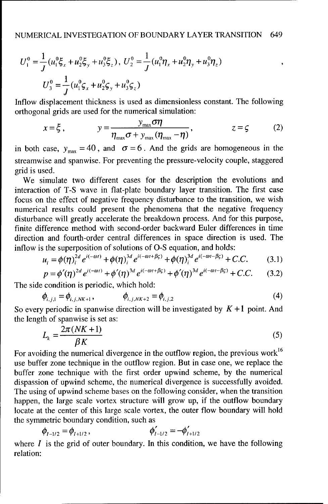$$
U_1^0 = \frac{1}{J} (u_1^0 \xi_x + u_2^0 \xi_y + u_3^0 \xi_z), \ U_2^0 = \frac{1}{J} (u_1^0 \eta_x + u_2^0 \eta_y + u_3^0 \eta_z)
$$
  

$$
U_3^0 = \frac{1}{J} (u_1^0 \zeta_x + u_2^0 \zeta_y + u_3^0 \zeta_z)
$$

Inflow displacement thickness is used as dimensionless constant. The following orthogonal grids are used for the numerical simulation:

$$
x = \xi, \qquad y = \frac{y_{\text{max}} \sigma \eta}{\eta_{\text{max}} \sigma + y_{\text{max}} (\eta_{\text{max}} - \eta)}, \qquad z = \zeta \qquad (2)
$$

in both case,  $y_{\text{max}} = 40$ , and  $\sigma = 6$ . And the grids are homogeneous in the streamwise and spanwise. For preventing the pressure-velocity couple, staggered grid is used.

We simulate two different cases for the description the evolutions and interaction of T-S wave in flat-plate boundary layer transition. The first case focus on the effect of negative frequency disturbance to the transition, we wish numerical results could present the phenomena that the negative frequency disturbance will greatly accelerate the breakdown process. And for this purpose, finite difference method with second-order backward Euler differences in time direction and fourth-order central differences in space direction is used. The inflow is the superposition of solutions of **O-S** equation, and holds:

$$
u_i = \phi(\eta)^{2d}_i e^{i(-\omega t)} + \phi(\eta)^{3d}_i e^{i(-\omega t + \beta \zeta)} + \phi(\eta)^{3d}_i e^{i(-\omega t - \beta \zeta)} + C.C.
$$
 (3.1)

$$
p = \phi'(\eta)^{2d} e^{i(-\omega t)} + \phi'(\eta)^{3d} e^{i(-\omega t + \beta \varsigma)} + \phi'(\eta)^{3d} e^{i(-\omega t - \beta \varsigma)} + C.C.
$$
 (3.2)

The side condition is periodic, which hold:

$$
\phi_{i,j,1} = \phi_{i,j,NK+1}, \qquad \phi_{i,j,NK+2} = \phi_{i,j,2}
$$
 (4)

So every periodic in spanwise direction will be investigated by  $K + 1$  point. And the length of spanwise is set as:

$$
L_k = \frac{2\pi (NK+1)}{\beta K} \tag{5}
$$

For avoiding the numerical divergence in the outflow region, the previous work<sup>16</sup> use buffer zone technique in the outflow region. But in case one, we replace the buffer zone technique with the first order upwind scheme, by the numerical dispassion of upwind scheme, the numerical divergence is successfully avoided. The using of upwind scheme bases on the following consider, when the transition happen, the large scale vortex structure will grow up, if the outflow boundary locate at the center of this large scale vortex, the outer flow boundary will hold the symmetric boundary condition, such as

$$
\phi_{I-1/2} = \phi_{I+1/2}, \qquad \phi_{I-1/2}' = -\phi_{I+1/2}'
$$

where  $I$  is the grid of outer boundary. In this condition, we have the following relation: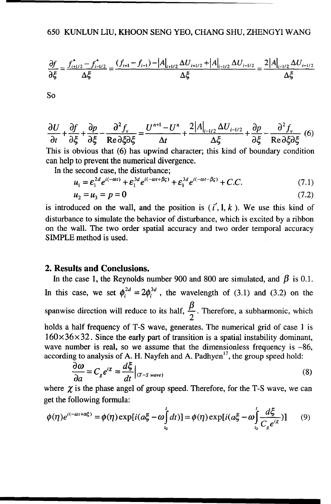$$
\frac{\partial f}{\partial \xi} = \frac{f_{i+1/2}^* - f_{i-1/2}^*}{\Delta \xi} = \frac{(f_{i+1} - f_{i-1}) - |A|_{i+1/2} \Delta U_{i+1/2} + |A|_{i-1/2} \Delta U_{i-1/2}}{\Delta \xi} = \frac{2|A|_{i-1/2} \Delta U_{i-1/2}}{\Delta \xi}
$$

So

$$
\frac{\partial U}{\partial t} + \frac{\partial f}{\partial \xi} + \frac{\partial p}{\partial \xi} - \frac{\partial^2 f_v}{\text{Re}\,\partial \xi \partial \xi} = \frac{U^{n+1} - U^n}{\Delta t} + \frac{2|A|_{i-1/2}\Delta U_{i-1/2}}{\Delta \xi} + \frac{\partial p}{\partial \xi} - \frac{\partial^2 f_v}{\text{Re}\,\partial \xi \partial \xi} \tag{6}
$$

This is obvious that (6) has upwind character; this kind of boundary condition can help to prevent the numerical divergence.

In the second case, the disturbance;

$$
u_1 = \mathcal{E}_1^{2d} e^{i(-\omega t)} + \mathcal{E}_1^{3d} e^{i(-\omega t + \beta \varsigma)} + \mathcal{E}_1^{3d} e^{i(-\omega t - \beta \varsigma)} + C.C.
$$
 (7.1)

$$
u_2 = u_3 = p = 0 \tag{7.2}
$$

is introduced on the wall, and the position is  $(i', 1, k)$ . We use this kind of disturbance to simulate the behavior of disturbance, which is excited by a ribbon on the wall. The two order spatial accuracy and two order temporal accuracy SIMPLE method is used.

#### 2. Results and Conclusions.

In the case 1, the Reynolds number 900 and 800 are simulated, and  $\beta$  is 0.1. In this case, we set  $\phi_i^{2d} = 2\phi_i^{3d}$ , the wavelength of (3.1) and (3.2) on the spanwise direction will reduce to its half,  $\frac{P}{r}$ . Therefore, a subharmonic, which 2 holds a half frequency of T-S wave, generates. The numerical grid of case **I** is  $160\times36\times32$ . Since the early part of transition is a spatial instability dominant, wave number is real, so we assume that the dimensionless frequency is -86, according to analysis of A. H. Nayfeh and A. Padhyen<sup>17</sup>, the group speed hold:

$$
\frac{\partial \omega}{\partial a} = C_g e^{i\chi} = \frac{d\xi}{dt}\Big|_{(T-S \text{ wave})}
$$
(8)

where  $\chi$  is the phase angel of group speed. Therefore, for the T-S wave, we can get the following formula:

$$
\phi(\eta)e^{i(-\omega t + \alpha \xi)} = \phi(\eta) \exp[i(a\xi - \omega \int_{t_0}^t dt)] = \phi(\eta) \exp[i(a\xi - \omega \int_{t_0}^t \frac{d\xi}{C_g e^{i\chi}})] \tag{9}
$$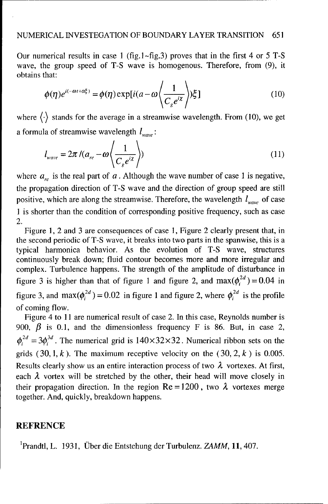Our numerical results in case **I** (fig.]-fig.3) proves that in the first 4 or 5 T-S wave, the group speed of T-S wave is homogenous. Therefore, from (9), it obtains that:

$$
\phi(\eta)e^{i(-\omega t + \alpha \xi)} = \phi(\eta) \exp[i(a - \omega \left\langle \frac{1}{C_g e^{i\chi}} \right\rangle) \xi]
$$
\n(10)

where  $\langle \cdot \rangle$  stands for the average in a streamwise wavelength. From (10), we get a formula of streamwise wavelength  $l_{wave}$ :

$$
l_{wave} = 2\pi / (a_{re} - \omega \left\langle \frac{1}{C_g e^{i\chi}} \right\rangle)
$$
 (11)

where  $a_{r}$  is the real part of  $a$ . Although the wave number of case 1 is negative, the propagation direction of T-S wave and the direction of group speed are still positive, which are along the streamwise. Therefore, the wavelength  $l_{wave}$  of case **I** is shorter than the condition of corresponding positive frequency, such as case 2.

Figure 1, 2 and 3 are consequences of case **1,** Figure 2 clearly present that, in the second periodic of T-S wave, it breaks into two parts in the spanwise, this is a typical harmonica behavior. As the evolution of T-S wave, structures continuously break down; fluid contour becomes more and more irregular and complex. Turbulence happens. The strength of the amplitude of disturbance in figure 3 is higher than that of figure 1 and figure 2, and  $max(\phi_i^{2d}) = 0.04$  in figure 3, and max $(\phi_i^{2d})$  = 0.02 in figure 1 and figure 2, where  $\phi_i^{2d}$  is the profile of coming flow.

Figure 4 to 11 are numerical result of case 2. In this case, Reynolds number is 900,  $\beta$  is 0.1, and the dimensionless frequency F is 86. But, in case 2,  $\phi_i^{2d} = 3\phi_i^{3d}$ . The numerical grid is  $140 \times 32 \times 32$ . Numerical ribbon sets on the grids  $(30, 1, k)$ . The maximum receptive velocity on the  $(30, 2, k)$  is 0.005. Results clearly show us an entire interaction process of two  $\lambda$  vortexes. At first, each  $\lambda$  vortex will be stretched by the other, their head will move closely in their propagation direction. In the region  $Re = 1200$ , two  $\lambda$  vortexes merge together. And, quickly, breakdown happens.

#### **REFRENCE**

1 Prandtl, L. 1931, Uber die Entstehung der Turbulenz. ZAMM, **11,** 407.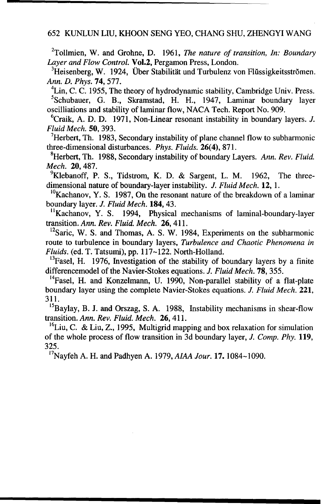<sup>2</sup>Tollmien, W. and Grohne, D. 1961, *The nature of transition, In: Boundary Layer and Flow Control.* **Vol.2**, Pergamon Press, London.

<sup>3</sup>Heisenberg, W. 1924, Über Stabilität und Turbulenz von Flüssigkeitsströmen. *Ann. D. Phys.* **74**, 577.

 ${}^{4}$ Lin, C. C. 1955, The theory of hydrodynamic stability, Cambridge Univ. Press.

5Schubauer, G. B., Skramstad, H. H., 1947, Laminar boundary layer oscilliations and stability of laminar flow, NACA Tech. Report No. 909.

 ${}^{6}$ Craik, A. D. D. 1971, Non-Linear resonant instability in boundary layers. J. *Fluid Mech. 50,* 393. <sup>7</sup>

<sup>7</sup>Herbert, Th. 1983, Secondary instability of plane channel flow to subharmonic three-dimensional disturbances. *Phys. Fluids.* 26(4), 871.

8Herbert, Th. 1988, Secondary instability of boundary Layers. *Ann. Rev. Fluid. Mech.* 20, 487.

<sup>9</sup>Klebanoff, P. S., Tidstrom, K. D. & Sargent, L. M. 1962, The threedimensional nature of boundary-layer instability. *J. Fluid Mech.* 12, **1.**

 $^{10}$ Kachanov, Y. S. 1987, On the resonant nature of the breakdown of a laminar boundary layer. *J. Fluid Mech.* 184, 43.

"Kachanov, Y. **S.** 1994, Physical mechanisms of laminal-boundary-layer transition. Ann. *Rev. Fluid. Mech.* 26, 411.

 $^{12}$ Saric, W. S. and Thomas, A. S. W. 1984, Experiments on the subharmonic route to turbulence in boundary layers, *Turbulence and Chaotic Phenomena in Fluids.* (ed. T. Tatsumi), pp. 117~122. North-Holland.

<sup>13</sup>Fasel, H. 1976, Investigation of the stability of boundary layers by a finite differencemodel of the Navier-Stokes equations. *J. Fluid Mech.* 78, 355.

 $14$ Fasel, H. and Konzelmann, U. 1990, Non-parallel stability of a flat-plate boundary layer using the complete Navier-Stokes equations. *J. Fluid Mech.* 221, 311.

<sup>15</sup>Baylay, B. J. and Orszag, S. A. 1988, Instability mechanisms in shear-flow transition. *Ann. Rev. Fluid. Mech.* 26, 411.

<sup>16</sup>Liu, C. & Liu, Z., 1995, Multigrid mapping and box relaxation for simulation of the whole process of flow transition in 3d boundary layer, *J. Comp. Phy.* **119,** 325.

17Nayfeh A. H. and Padhyen A. 1979, *AIAA Jour.* **17. 1084-1090.**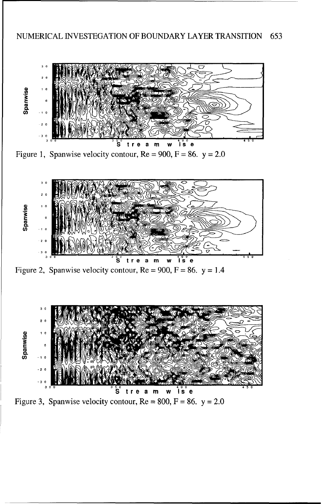

Figure 1, Spanwise velocity contour,  $Re = 900$ ,  $F = 86$ .  $y = 2.0$ 



Figure 2, Spanwise velocity contour,  $Re = 900$ ,  $F = 86$ .  $y = 1.4$ 



Figure 3, Spanwise velocity contour,  $Re = 800$ ,  $F = 86$ .  $y = 2.0$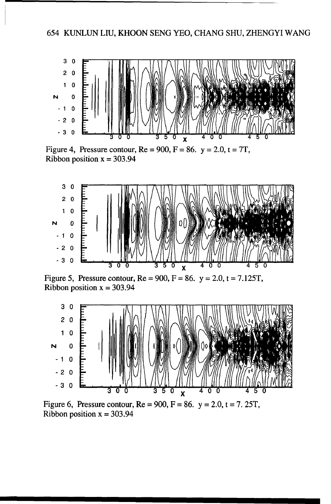

Figure 4, Pressure contour,  $Re = 900$ ,  $F = 86$ .  $y = 2.0$ ,  $t = 7T$ , Ribbon position  $x = 303.94$ 



Figure 5, Pressure contour,  $Re = 900$ ,  $F = 86$ .  $y = 2.0$ ,  $t = 7.125T$ , Ribbon position  $x = 303.94$ 



Figure 6, Pressure contour,  $Re = 900$ ,  $F = 86$ .  $y = 2.0$ ,  $t = 7.25T$ , Ribbon position  $x = 303.94$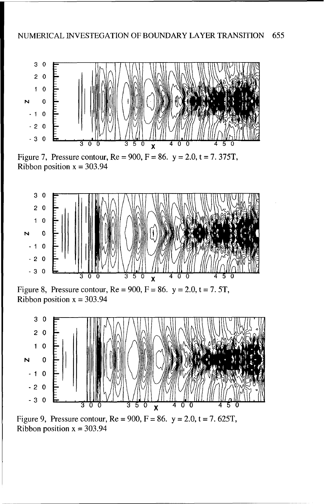

Figure 7, Pressure contour,  $Re = 900$ ,  $F = 86$ .  $y = 2.0$ ,  $t = 7.375T$ , Ribbon position  $x = 303.94$ 



Figure 8, Pressure contour,  $Re = 900$ ,  $F = 86$ .  $y = 2.0$ ,  $t = 7.5T$ , Ribbon position  $x = 303.94$ 



Figure 9, Pressure contour,  $Re = 900$ ,  $F = 86$ .  $y = 2.0$ ,  $t = 7.625T$ , Ribbon position  $x = 303.94$